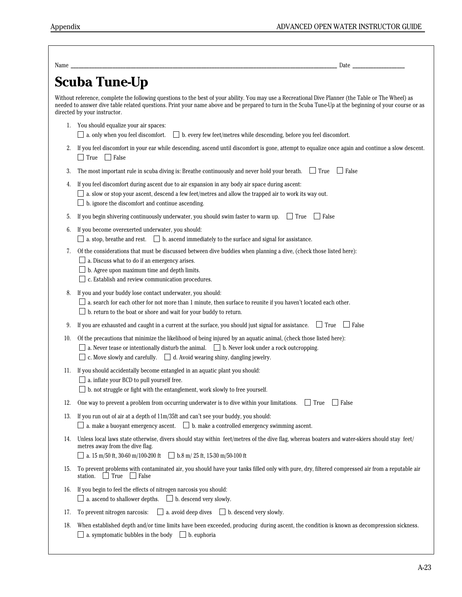| Name | Date                                                                                                                                                                                                                                                                                                                                            |
|------|-------------------------------------------------------------------------------------------------------------------------------------------------------------------------------------------------------------------------------------------------------------------------------------------------------------------------------------------------|
|      | Scuba Tune-Up                                                                                                                                                                                                                                                                                                                                   |
|      | Without reference, complete the following questions to the best of your ability. You may use a Recreational Dive Planner (the Table or The Wheel) as<br>needed to answer dive table related questions. Print your name above and be prepared to turn in the Scuba Tune-Up at the beginning of your course or as<br>directed by your instructor. |
|      | 1. You should equalize your air spaces:<br>$\Box$ b. every few feet/metres while descending, before you feel discomfort.<br>$\Box$ a. only when you feel discomfort.                                                                                                                                                                            |
| 2.   | If you feel discomfort in your ear while descending, ascend until discomfort is gone, attempt to equalize once again and continue a slow descent.<br>$\Box$ True $\Box$ False                                                                                                                                                                   |
| 3.   | The most important rule in scuba diving is: Breathe continuously and never hold your breath. $\Box$ True $\Box$ False                                                                                                                                                                                                                           |
| 4.   | If you feel discomfort during ascent due to air expansion in any body air space during ascent:<br>$\Box$ a. slow or stop your ascent, descend a few feet/metres and allow the trapped air to work its way out.<br>$\Box$ b. ignore the discomfort and continue ascending.                                                                       |
| 5.   | $\Box$ True<br>$\Box$ False<br>If you begin shivering continuously underwater, you should swim faster to warm up.                                                                                                                                                                                                                               |
| 6.   | If you become overexerted underwater, you should:<br>$\Box$ a. stop, breathe and rest. $\Box$ b. ascend immediately to the surface and signal for assistance.                                                                                                                                                                                   |
| 7.   | Of the considerations that must be discussed between dive buddies when planning a dive, (check those listed here):<br>$\Box$ a. Discuss what to do if an emergency arises.<br>$\Box$ b. Agree upon maximum time and depth limits.<br>$\Box$ c. Establish and review communication procedures.                                                   |
| 8.   | If you and your buddy lose contact underwater, you should:<br>$\Box$ a. search for each other for not more than 1 minute, then surface to reunite if you haven't located each other.<br>$\Box$ b. return to the boat or shore and wait for your buddy to return.                                                                                |
| 9.   | If you are exhausted and caught in a current at the surface, you should just signal for assistance. $\Box$ True $\Box$ False                                                                                                                                                                                                                    |
| 10.  | Of the precautions that minimize the likelihood of being injured by an aquatic animal, (check those listed here):<br>$\Box$ a. Never tease or intentionally disturb the animal. $\Box$ b. Never look under a rock outcropping.<br>$\Box$ c. Move slowly and carefully. $\Box$ d. Avoid wearing shiny, dangling jewelry.                         |
| 11.  | If you should accidentally become entangled in an aquatic plant you should:<br>$\Box$ a. inflate your BCD to pull yourself free.<br>$\Box$ b. not struggle or fight with the entanglement, work slowly to free yourself.                                                                                                                        |
| 12.  | One way to prevent a problem from occurring underwater is to dive within your limitations. $\Box$ True<br>Salse                                                                                                                                                                                                                                 |
| 13.  | If you run out of air at a depth of $11m/35ft$ and can't see your buddy, you should:<br>a. make a buoyant emergency ascent. $\Box$ b. make a controlled emergency swimming ascent.                                                                                                                                                              |
| 14.  | Unless local laws state otherwise, divers should stay within feet/metres of the dive flag, whereas boaters and water-skiers should stay feet/<br>metres away from the dive flag.<br>a. 15 m/50 ft, 30-60 m/100-200 ft $\Box$ b.8 m/ 25 ft, 15-30 m/50-100 ft                                                                                    |
| 15.  | To prevent problems with contaminated air, you should have your tanks filled only with pure, dry, filtered compressed air from a reputable air<br>$\Box$ True<br>station.<br>$\Box$ False                                                                                                                                                       |
| 16.  | If you begin to feel the effects of nitrogen narcosis you should:<br>a. ascend to shallower depths. $\Box$ b. descend very slowly.                                                                                                                                                                                                              |
| 17.  | $\Box$ a. avoid deep dives $\Box$ b. descend very slowly.<br>To prevent nitrogen narcosis:                                                                                                                                                                                                                                                      |
| 18.  | When established depth and/or time limits have been exceeded, producing during ascent, the condition is known as decompression sickness.<br>a. symptomatic bubbles in the body $\Box$ b. euphoria                                                                                                                                               |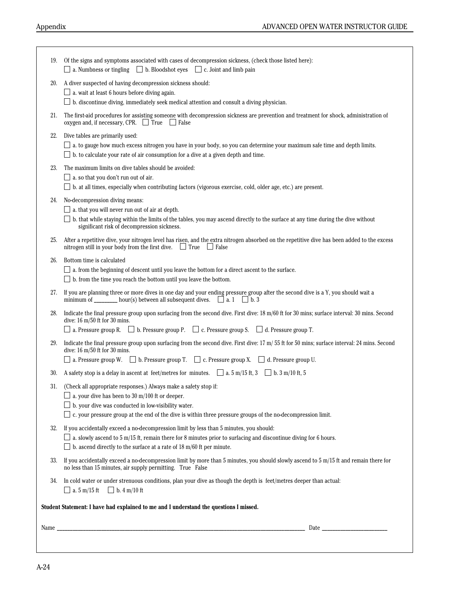|     | Student Statement: I have had explained to me and I understand the questions I missed.                                                                                                                                                                                                                          |
|-----|-----------------------------------------------------------------------------------------------------------------------------------------------------------------------------------------------------------------------------------------------------------------------------------------------------------------|
| 34. | In cold water or under strenuous conditions, plan your dive as though the depth is feet/metres deeper than actual:<br>$\Box$ a. 5 m/15 ft $\Box$ b. 4 m/10 ft                                                                                                                                                   |
| 33. | If you accidentally exceed a no-decompression limit by more than 5 minutes, you should slowly ascend to $5 \text{ m}/15$ ft and remain there for<br>no less than 15 minutes, air supply permitting. True False                                                                                                  |
| 32. | If you accidentally exceed a no-decompression limit by less than 5 minutes, you should:<br>$\Box$ a. slowly ascend to 5 m/15 ft, remain there for 8 minutes prior to surfacing and discontinue diving for 6 hours.<br>$\Box$ b. ascend directly to the surface at a rate of 18 m/60 ft per minute.              |
| 31. | (Check all appropriate responses.) Always make a safety stop if:<br>$\Box$ a. your dive has been to 30 m/100 ft or deeper.<br>$\Box$ b. your dive was conducted in low-visibility water.<br>$\Box$ c. your pressure group at the end of the dive is within three pressure groups of the no-decompression limit. |
| 30. | A safety stop is a delay in ascent at feet/metres for minutes. $\Box$ a. 5 m/15 ft, 3 $\Box$ b. 3 m/10 ft, 5                                                                                                                                                                                                    |
| 29. | Indicate the final pressure group upon surfacing from the second dive. First dive: 17 m/ 55 ft for 50 mins; surface interval: 24 mins. Second<br>dive: 16 m/50 ft for 30 mins.<br>$\Box$ a. Pressure group W. $\Box$ b. Pressure group T. $\Box$ c. Pressure group X. $\Box$ d. Pressure group U.               |
|     | $\Box$ a. Pressure group R. $\Box$ b. Pressure group P. $\Box$ c. Pressure group S. $\Box$ d. Pressure group T.                                                                                                                                                                                                 |
| 28. | Indicate the final pressure group upon surfacing from the second dive. First dive: 18 m/60 ft for 30 mins; surface interval: 30 mins. Second<br>dive: $16 \text{ m}/50$ ft for $30 \text{ mins}$ .                                                                                                              |
| 27. | If you are planning three or more dives in one day and your ending pressure group after the second dive is a Y, you should wait a<br>minimum of ________ hour(s) between all subsequent dives. $\Box$ a. 1 $\Box$ b. 3                                                                                          |
| 26. | Bottom time is calculated<br>$\Box$ a. from the beginning of descent until you leave the bottom for a direct ascent to the surface.<br>$\Box$ b. from the time you reach the bottom until you leave the bottom.                                                                                                 |
| 25. | After a repetitive dive, your nitrogen level has risen, and the extra nitrogen absorbed on the repetitive dive has been added to the excess<br>nitrogen still in your body from the first dive. $\Box$ True $\Box$ False                                                                                        |
| 24. | No-decompression diving means:<br>$\Box$ a. that you will never run out of air at depth.<br>$\Box$ b. that while staying within the limits of the tables, you may ascend directly to the surface at any time during the dive without<br>significant risk of decompression sickness.                             |
| 23. | The maximum limits on dive tables should be avoided:<br>$\Box$ a. so that you don't run out of air.<br>$\Box$ b. at all times, especially when contributing factors (vigorous exercise, cold, older age, etc.) are present.                                                                                     |
| 22. | Dive tables are primarily used:<br>a. to gauge how much excess nitrogen you have in your body, so you can determine your maximum safe time and depth limits.<br>$\Box$ b. to calculate your rate of air consumption for a dive at a given depth and time.                                                       |
| 21. | The first-aid procedures for assisting someone with decompression sickness are prevention and treatment for shock, administration of<br>oxygen and, if necessary, CPR. $\Box$ True $\Box$ False                                                                                                                 |
| 20. | A diver suspected of having decompression sickness should:<br>$\Box$ a. wait at least 6 hours before diving again.<br>$\Box$ b. discontinue diving, immediately seek medical attention and consult a diving physician.                                                                                          |
| 19. | Of the signs and symptoms associated with cases of decompression sickness, (check those listed here):<br>$\Box$ a. Numbness or tingling $\Box$ b. Bloodshot eyes $\Box$ c. Joint and limb pain                                                                                                                  |